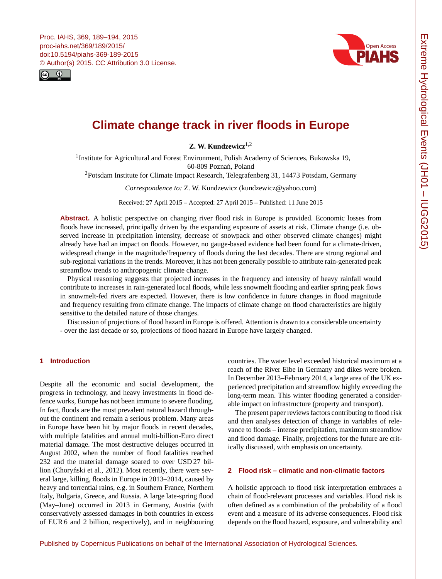<span id="page-0-1"></span>Proc. IAHS, 369, 189–194, 2015 proc-iahs.net/369/189/2015/ doi:10.5194/piahs-369-189-2015 © Author(s) 2015. CC Attribution 3.0 License.





# **Climate change track in river floods in Europe**

**Z. W. Kundzewicz**[1,2](#page-0-0)

<sup>1</sup>Institute for Agricultural and Forest Environment, Polish Academy of Sciences, Bukowska 19, 60-809 Poznań, Poland

<sup>2</sup>Potsdam Institute for Climate Impact Research, Telegrafenberg 31, 14473 Potsdam, Germany

*Correspondence to:* Z. W. Kundzewicz (kundzewicz@yahoo.com)

Received: 27 April 2015 – Accepted: 27 April 2015 – Published: 11 June 2015

Abstract. A holistic perspective on changing river flood risk in Europe is provided. Economic losses from floods have increased, principally driven by the expanding exposure of assets at risk. Climate change (i.e. observed increase in precipitation intensity, decrease of snowpack and other observed climate changes) might already have had an impact on floods. However, no gauge-based evidence had been found for a climate-driven, widespread change in the magnitude/frequency of floods during the last decades. There are strong regional and sub-regional variations in the trends. Moreover, it has not been generally possible to attribute rain-generated peak streamflow trends to anthropogenic climate change.

Physical reasoning suggests that projected increases in the frequency and intensity of heavy rainfall would contribute to increases in rain-generated local floods, while less snowmelt flooding and earlier spring peak flows in snowmelt-fed rivers are expected. However, there is low confidence in future changes in flood magnitude and frequency resulting from climate change. The impacts of climate change on flood characteristics are highly sensitive to the detailed nature of those changes.

Discussion of projections of flood hazard in Europe is offered. Attention is drawn to a considerable uncertainty - over the last decade or so, projections of flood hazard in Europe have largely changed.

## <span id="page-0-0"></span>**1 Introduction**

Despite all the economic and social development, the progress in technology, and heavy investments in flood defence works, Europe has not been immune to severe flooding. In fact, floods are the most prevalent natural hazard throughout the continent and remain a serious problem. Many areas in Europe have been hit by major floods in recent decades, with multiple fatalities and annual multi-billion-Euro direct material damage. The most destructive deluges occurred in August 2002, when the number of flood fatalities reached 232 and the material damage soared to over USD 27 billion (Choryński et al., 2012). Most recently, there were several large, killing, floods in Europe in 2013–2014, caused by heavy and torrential rains, e.g. in Southern France, Northern Italy, Bulgaria, Greece, and Russia. A large late-spring flood (May–June) occurred in 2013 in Germany, Austria (with conservatively assessed damages in both countries in excess of EUR 6 and 2 billion, respectively), and in neighbouring

countries. The water level exceeded historical maximum at a reach of the River Elbe in Germany and dikes were broken. In December 2013–February 2014, a large area of the UK experienced precipitation and streamflow highly exceeding the long-term mean. This winter flooding generated a considerable impact on infrastructure (property and transport).

The present paper reviews factors contributing to flood risk and then analyses detection of change in variables of relevance to floods – intense precipitation, maximum streamflow and flood damage. Finally, projections for the future are critically discussed, with emphasis on uncertainty.

#### **2 Flood risk – climatic and non-climatic factors**

A holistic approach to flood risk interpretation embraces a chain of flood-relevant processes and variables. Flood risk is often defined as a combination of the probability of a flood event and a measure of its adverse consequences. Flood risk depends on the flood hazard, exposure, and vulnerability and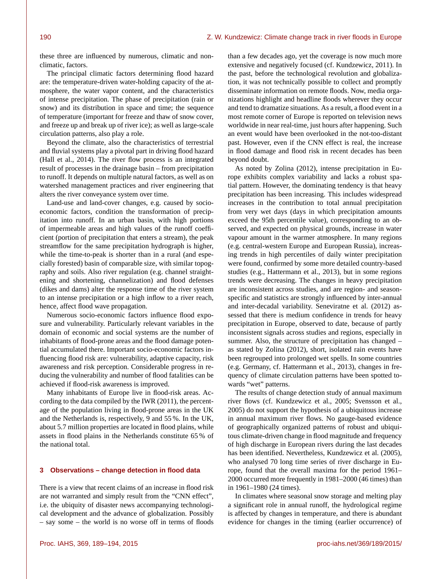these three are influenced by numerous, climatic and nonclimatic, factors.

The principal climatic factors determining flood hazard are: the temperature-driven water-holding capacity of the atmosphere, the water vapor content, and the characteristics of intense precipitation. The phase of precipitation (rain or snow) and its distribution in space and time; the sequence of temperature (important for freeze and thaw of snow cover, and freeze up and break up of river ice); as well as large-scale circulation patterns, also play a role.

Beyond the climate, also the characteristics of terrestrial and fluvial systems play a pivotal part in driving flood hazard (Hall et al., 2014). The river flow process is an integrated result of processes in the drainage basin – from precipitation to runoff. It depends on multiple natural factors, as well as on watershed management practices and river engineering that alters the river conveyance system over time.

Land-use and land-cover changes, e.g. caused by socioeconomic factors, condition the transformation of precipitation into runoff. In an urban basin, with high portions of impermeable areas and high values of the runoff coefficient (portion of precipitation that enters a stream), the peak streamflow for the same precipitation hydrograph is higher, while the time-to-peak is shorter than in a rural (and especially forested) basin of comparable size, with similar topography and soils. Also river regulation (e.g. channel straightening and shortening, channelization) and flood defenses (dikes and dams) alter the response time of the river system to an intense precipitation or a high inflow to a river reach, hence, affect flood wave propagation.

Numerous socio-economic factors influence flood exposure and vulnerability. Particularly relevant variables in the domain of economic and social systems are the number of inhabitants of flood-prone areas and the flood damage potential accumulated there. Important socio-economic factors influencing flood risk are: vulnerability, adaptive capacity, risk awareness and risk perception. Considerable progress in reducing the vulnerability and number of flood fatalities can be achieved if flood-risk awareness is improved.

Many inhabitants of Europe live in flood-risk areas. According to the data compiled by the IWR (2011), the percentage of the population living in flood-prone areas in the UK and the Netherlands is, respectively, 9 and 55 %. In the UK, about 5.7 million properties are located in flood plains, while assets in flood plains in the Netherlands constitute 65 % of the national total.

## **3 Observations – change detection in flood data**

There is a view that recent claims of an increase in flood risk are not warranted and simply result from the "CNN effect", i.e. the ubiquity of disaster news accompanying technological development and the advance of globalization. Possibly – say some – the world is no worse off in terms of floods than a few decades ago, yet the coverage is now much more extensive and negatively focused (cf. Kundzewicz, 2011). In the past, before the technological revolution and globalization, it was not technically possible to collect and promptly disseminate information on remote floods. Now, media organizations highlight and headline floods wherever they occur and tend to dramatize situations. As a result, a flood event in a most remote corner of Europe is reported on television news worldwide in near real-time, just hours after happening. Such an event would have been overlooked in the not-too-distant past. However, even if the CNN effect is real, the increase in flood damage and flood risk in recent decades has been beyond doubt.

As noted by Zolina (2012), intense precipitation in Europe exhibits complex variability and lacks a robust spatial pattern. However, the dominating tendency is that heavy precipitation has been increasing. This includes widespread increases in the contribution to total annual precipitation from very wet days (days in which precipitation amounts exceed the 95th percentile value), corresponding to an observed, and expected on physical grounds, increase in water vapour amount in the warmer atmosphere. In many regions (e.g. central-western Europe and European Russia), increasing trends in high percentiles of daily winter precipitation were found, confirmed by some more detailed country-based studies (e.g., Hattermann et al., 2013), but in some regions trends were decreasing. The changes in heavy precipitation are inconsistent across studies, and are region- and seasonspecific and statistics are strongly influenced by inter-annual and inter-decadal variability. Seneviratne et al. (2012) assessed that there is medium confidence in trends for heavy precipitation in Europe, observed to date, because of partly inconsistent signals across studies and regions, especially in summer. Also, the structure of precipitation has changed – as stated by Zolina (2012), short, isolated rain events have been regrouped into prolonged wet spells. In some countries (e.g. Germany, cf. Hattermann et al., 2013), changes in frequency of climate circulation patterns have been spotted towards "wet" patterns.

The results of change detection study of annual maximum river flows (cf. Kundzewicz et al., 2005; Svensson et al., 2005) do not support the hypothesis of a ubiquitous increase in annual maximum river flows. No gauge-based evidence of geographically organized patterns of robust and ubiquitous climate-driven change in flood magnitude and frequency of high discharge in European rivers during the last decades has been identified. Nevertheless, Kundzewicz et al. (2005), who analysed 70 long time series of river discharge in Europe, found that the overall maxima for the period 1961– 2000 occurred more frequently in 1981–2000 (46 times) than in 1961–1980 (24 times).

In climates where seasonal snow storage and melting play a significant role in annual runoff, the hydrological regime is affected by changes in temperature, and there is abundant evidence for changes in the timing (earlier occurrence) of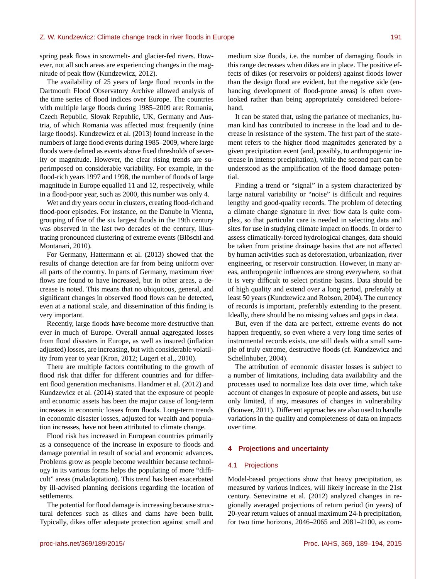spring peak flows in snowmelt- and glacier-fed rivers. However, not all such areas are experiencing changes in the magnitude of peak flow (Kundzewicz, 2012).

The availability of 25 years of large flood records in the Dartmouth Flood Observatory Archive allowed analysis of the time series of flood indices over Europe. The countries with multiple large floods during 1985–2009 are: Romania, Czech Republic, Slovak Republic, UK, Germany and Austria, of which Romania was affected most frequently (nine large floods). Kundzewicz et al. (2013) found increase in the numbers of large flood events during 1985–2009, where large floods were defined as events above fixed thresholds of severity or magnitude. However, the clear rising trends are superimposed on considerable variability. For example, in the flood-rich years 1997 and 1998, the number of floods of large magnitude in Europe equalled 11 and 12, respectively, while in a flood-poor year, such as 2000, this number was only 4.

Wet and dry years occur in clusters, creating flood-rich and flood-poor episodes. For instance, on the Danube in Vienna, grouping of five of the six largest floods in the 19th century was observed in the last two decades of the century, illustrating pronounced clustering of extreme events (Blöschl and Montanari, 2010).

For Germany, Hattermann et al. (2013) showed that the results of change detection are far from being uniform over all parts of the country. In parts of Germany, maximum river flows are found to have increased, but in other areas, a decrease is noted. This means that no ubiquitous, general, and significant changes in observed flood flows can be detected, even at a national scale, and dissemination of this finding is very important.

Recently, large floods have become more destructive than ever in much of Europe. Overall annual aggregated losses from flood disasters in Europe, as well as insured (inflation adjusted) losses, are increasing, but with considerable volatility from year to year (Kron, 2012; Lugeri et al., 2010).

There are multiple factors contributing to the growth of flood risk that differ for different countries and for different flood generation mechanisms. Handmer et al. (2012) and Kundzewicz et al. (2014) stated that the exposure of people and economic assets has been the major cause of long-term increases in economic losses from floods. Long-term trends in economic disaster losses, adjusted for wealth and population increases, have not been attributed to climate change.

Flood risk has increased in European countries primarily as a consequence of the increase in exposure to floods and damage potential in result of social and economic advances. Problems grow as people become wealthier because technology in its various forms helps the populating of more "difficult" areas (maladaptation). This trend has been exacerbated by ill-advised planning decisions regarding the location of settlements.

The potential for flood damage is increasing because structural defences such as dikes and dams have been built. Typically, dikes offer adequate protection against small and

medium size floods, i.e. the number of damaging floods in this range decreases when dikes are in place. The positive effects of dikes (or reservoirs or polders) against floods lower than the design flood are evident, but the negative side (enhancing development of flood-prone areas) is often overlooked rather than being appropriately considered beforehand.

It can be stated that, using the parlance of mechanics, human kind has contributed to increase in the load and to decrease in resistance of the system. The first part of the statement refers to the higher flood magnitudes generated by a given precipitation event (and, possibly, to anthropogenic increase in intense precipitation), while the second part can be understood as the amplification of the flood damage potential.

Finding a trend or "signal" in a system characterized by large natural variability or "noise" is difficult and requires lengthy and good-quality records. The problem of detecting a climate change signature in river flow data is quite complex, so that particular care is needed in selecting data and sites for use in studying climate impact on floods. In order to assess climatically-forced hydrological changes, data should be taken from pristine drainage basins that are not affected by human activities such as deforestation, urbanization, river engineering, or reservoir construction. However, in many areas, anthropogenic influences are strong everywhere, so that it is very difficult to select pristine basins. Data should be of high quality and extend over a long period, preferably at least 50 years (Kundzewicz and Robson, 2004). The currency of records is important, preferably extending to the present. Ideally, there should be no missing values and gaps in data.

But, even if the data are perfect, extreme events do not happen frequently, so even where a very long time series of instrumental records exists, one still deals with a small sample of truly extreme, destructive floods (cf. Kundzewicz and Schellnhuber, 2004).

The attribution of economic disaster losses is subject to a number of limitations, including data availability and the processes used to normalize loss data over time, which take account of changes in exposure of people and assets, but use only limited, if any, measures of changes in vulnerability (Bouwer, 2011). Different approaches are also used to handle variations in the quality and completeness of data on impacts over time.

## **4 Projections and uncertainty**

# 4.1 Projections

Model-based projections show that heavy precipitation, as measured by various indices, will likely increase in the 21st century. Seneviratne et al. (2012) analyzed changes in regionally averaged projections of return period (in years) of 20-year return values of annual maximum 24-h precipitation, for two time horizons, 2046–2065 and 2081–2100, as com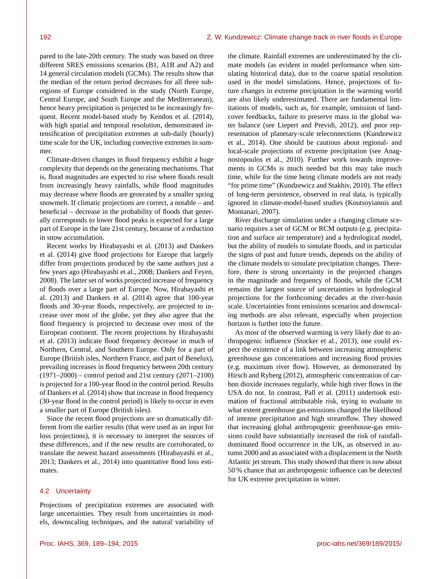pared to the late-20th century. The study was based on three different SRES emissions scenarios (B1, A1B and A2) and 14 general circulation models (GCMs). The results show that the median of the return period decreases for all three subregions of Europe considered in the study (North Europe, Central Europe, and South Europe and the Mediterranean), hence heavy precipitation is projected to be increasingly frequent. Recent model-based study by Kendon et al. (2014), with high spatial and temporal resolution, demonstrated intensification of precipitation extremes at sub-daily (hourly) time scale for the UK, including convective extremes in summer.

Climate-driven changes in flood frequency exhibit a huge complexity that depends on the generating mechanisms. That is, flood magnitudes are expected to rise where floods result from increasingly heavy rainfalls, while flood magnitudes may decrease where floods are generated by a smaller spring snowmelt. If climatic projections are correct, a notable – and beneficial – decrease in the probability of floods that generally corresponds to lower flood peaks is expected for a large part of Europe in the late 21st century, because of a reduction in snow accumulation.

Recent works by Hirabayashi et al. (2013) and Dankers et al. (2014) give flood projections for Europe that largely differ from projections produced by the same authors just a few years ago (Hirabayashi et al., 2008; Dankers and Feyen, 2008). The latter set of works projected increase of frequency of floods over a large part of Europe. Now, Hirabayashi et al. (2013) and Dankers et al. (2014) agree that 100-year floods and 30-year floods, respectively, are projected to increase over most of the globe, yet they also agree that the flood frequency is projected to decrease over most of the European continent. The recent projections by Hirabayashi et al. (2013) indicate flood frequency decrease in much of Northern, Central, and Southern Europe. Only for a part of Europe (British isles, Northern France, and part of Benelux), prevailing increases in flood frequency between 20th century (1971–2000) – control period and 21st century (2071–2100) is projected for a 100-year flood in the control period. Results of Dankers et al. (2014) show that increase in flood frequency (30-year flood in the control period) is likely to occur in even a smaller part of Europe (British isles).

Since the recent flood projections are so dramatically different from the earlier results (that were used as an input for loss projections), it is necessary to interpret the sources of these differences, and if the new results are corroborated, to translate the newest hazard assessments (Hirabayashi et al., 2013; Dankers et al., 2014) into quantitative flood loss estimates.

#### 4.2 Uncertainty

Projections of precipitation extremes are associated with large uncertainties. They result from uncertainties in models, downscaling techniques, and the natural variability of the climate. Rainfall extremes are underestimated by the climate models (as evident in model performance when simulating historical data), due to the coarse spatial resolution used in the model simulations. Hence, projections of future changes in extreme precipitation in the warming world are also likely underestimated. There are fundamental limitations of models, such as, for example, omission of landcover feedbacks, failure to preserve mass in the global water balance (see Liepert and Previdi, 2012), and poor representation of planetary-scale teleconnections (Kundzewicz et al., 2014). One should be cautious about regional- and local-scale projections of extreme precipitation (see Anagnostopoulos et al., 2010). Further work towards improvements in GCMs is much needed but this may take much time, while for the time being climate models are not ready "for prime time" (Kundzewicz and Stakhiv, 2010). The effect of long-term persistence, observed in real data, is typically ignored in climate-model-based studies (Koutsoyiannis and Montanari, 2007).

River discharge simulation under a changing climate scenario requires a set of GCM or RCM outputs (e.g. precipitation and surface air temperature) and a hydrological model, but the ability of models to simulate floods, and in particular the signs of past and future trends, depends on the ability of the climate models to simulate precipitation changes. Therefore, there is strong uncertainty in the projected changes in the magnitude and frequency of floods, while the GCM remains the largest source of uncertainties in hydrological projections for the forthcoming decades at the river-basin scale. Uncertainties from emissions scenarios and downscaling methods are also relevant, especially when projection horizon is further into the future.

As most of the observed warming is very likely due to anthropogenic influence (Stocker et al., 2013), one could expect the existence of a link between increasing atmospheric greenhouse gas concentrations and increasing flood proxies (e.g. maximum river flow). However, as demonstrated by Hirsch and Ryberg (2012), atmospheric concentration of carbon dioxide increases regularly, while high river flows in the USA do not. In contrast, Pall et al. (2011) undertook estimation of fractional attributable risk, trying to evaluate to what extent greenhouse gas emissions changed the likelihood of intense precipitation and high streamflow. They showed that increasing global anthropogenic greenhouse-gas emissions could have substantially increased the risk of rainfalldominated flood occurrence in the UK, as observed in autumn 2000 and as associated with a displacement in the North Atlantic jet stream. This study showed that there is now about 50 % chance that an anthropogenic influence can be detected for UK extreme precipitation in winter.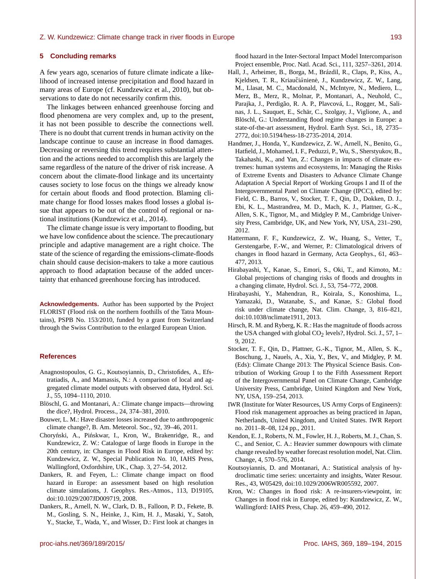# **5 Concluding remarks**

A few years ago, scenarios of future climate indicate a likelihood of increased intense precipitation and flood hazard in many areas of Europe (cf. Kundzewicz et al., 2010), but observations to date do not necessarily confirm this.

The linkages between enhanced greenhouse forcing and flood phenomena are very complex and, up to the present, it has not been possible to describe the connections well. There is no doubt that current trends in human activity on the landscape continue to cause an increase in flood damages. Decreasing or reversing this trend requires substantial attention and the actions needed to accomplish this are largely the same regardless of the nature of the driver of risk increase. A concern about the climate-flood linkage and its uncertainty causes society to lose focus on the things we already know for certain about floods and flood protection. Blaming climate change for flood losses makes flood losses a global issue that appears to be out of the control of regional or national institutions (Kundzewicz et al., 2014).

The climate change issue is very important to flooding, but we have low confidence about the science. The precautionary principle and adaptive management are a right choice. The state of the science of regarding the emissions-climate-floods chain should cause decision-makers to take a more cautious approach to flood adaptation because of the added uncertainty that enhanced greenhouse forcing has introduced.

**Acknowledgements.** Author has been supported by the Project FLORIST (Flood risk on the northern foothills of the Tatra Mountains), PSPB No. 153/2010, funded by a grant from Switzerland through the Swiss Contribution to the enlarged European Union.

# **References**

- Anagnostopoulos, G. G., Koutsoyiannis, D., Christofides, A., Efstratiadis, A., and Mamassis, N.: A comparison of local and aggregated climate model outputs with observed data, Hydrol. Sci. J., 55, 1094–1110, 2010.
- Blöschl, G. and Montanari, A.: Climate change impacts—throwing the dice?, Hydrol. Process., 24, 374–381, 2010.
- Bouwer, L. M.: Have disaster losses increased due to anthropogenic climate change?, B. Am. Meteorol. Soc., 92, 39–46, 2011.
- Choryński, A., Pińskwar, I., Kron, W., Brakenridge, R., and Kundzewicz, Z. W.: Catalogue of large floods in Europe in the 20th century, in: Changes in Flood Risk in Europe, edited by: Kundzewicz, Z. W., Special Publication No. 10, IAHS Press, Wallingford, Oxfordshire, UK., Chap. 3, 27–54, 2012.
- Dankers, R. and Feyen, L.: Climate change impact on flood hazard in Europe: an assessment based on high resolution climate simulations, J. Geophys. Res.-Atmos., 113, D19105, doi[:10.1029/2007JD009719,](http://dx.doi.org/10.1029/2007JD009719) 2008.
- Dankers, R., Arnell, N. W., Clark, D. B., Falloon, P. D., Fekete, B. M., Gosling, S. N., Heinke, J., Kim, H. J., Masaki, Y., Satoh, Y., Stacke, T., Wada, Y., and Wisser, D.: First look at changes in

flood hazard in the Inter-Sectoral Impact Model Intercomparison Project ensemble, Proc. Natl. Acad. Sci., 111, 3257–3261, 2014.

- Hall, J., Arheimer, B., Borga, M., Brázdil, R., Claps, P., Kiss, A., Kjeldsen, T. R., Kriaučiūnienė, J., Kundzewicz, Z. W., Lang, M., Llasat, M. C., Macdonald, N., McIntyre, N., Mediero, L., Merz, B., Merz, R., Molnar, P., Montanari, A., Neuhold, C., Parajka, J., Perdigão, R. A. P., Plavcová, L., Rogger, M., Salinas, J. L., Sauquet, E., Schär, C., Szolgay, J., Viglione, A., and Blöschl, G.: Understanding flood regime changes in Europe: a state-of-the-art assessment, Hydrol. Earth Syst. Sci., 18, 2735– 2772, doi[:10.5194/hess-18-2735-2014,](http://dx.doi.org/10.5194/hess-18-2735-2014) 2014.
- Handmer, J., Honda, Y., Kundzewicz, Z. W., Arnell, N., Benito, G., Hatfield, J., Mohamed, I. F., Peduzzi, P., Wu, S., Sherstyukov, B., Takahashi, K., and Yan, Z.: Changes in impacts of climate extremes: human systems and ecosystems, In: Managing the Risks of Extreme Events and Disasters to Advance Climate Change Adaptation A Special Report of Working Groups I and II of the Intergovernmental Panel on Climate Change (IPCC), edited by: Field, C. B., Barros, V., Stocker, T. F., Qin, D., Dokken, D. J., Ebi, K. L., Mastrandrea, M. D., Mach, K. J., Plattner, G.-K., Allen, S. K., Tignor, M., and Midgley P. M., Cambridge University Press, Cambridge, UK, and New York, NY, USA, 231–290, 2012.
- Hattermann, F. F., Kundzewicz, Z. W., Huang, S., Vetter, T., Gerstengarbe, F.-W., and Werner, P.: Climatological drivers of changes in flood hazard in Germany, Acta Geophys., 61, 463– 477, 2013.
- Hirabayashi, Y., Kanae, S., Emori, S., Oki, T., and Kimoto, M.: Global projections of changing risks of floods and droughts in a changing climate, Hydrol. Sci. J., 53, 754–772, 2008.
- Hirabayashi, Y., Mahendran, R., Koirala, S., Konoshima, L., Yamazaki, D., Watanabe, S., and Kanae, S.: Global flood risk under climate change, Nat. Clim. Change, 3, 816–821, doi[:10.1038/nclimate1911,](http://dx.doi.org/10.1038/nclimate1911) 2013.
- Hirsch, R. M. and Ryberg, K. R.: Has the magnitude of floods across the USA changed with global  $CO<sub>2</sub>$  levels?, Hydrol. Sci. J., 57, 1– 9, 2012.
- Stocker, T. F., Qin, D., Plattner, G.-K., Tignor, M., Allen, S. K., Boschung, J., Nauels, A., Xia, Y., Bex, V., and Midgley, P. M. (Eds): Climate Change 2013: The Physical Science Basis. Contribution of Working Group I to the Fifth Assessment Report of the Intergovernmental Panel on Climate Change, Cambridge University Press, Cambridge, United Kingdom and New York, NY, USA, 159–254, 2013.
- IWR (Institute for Water Resources, US Army Corps of Engineers): Flood risk management approaches as being practiced in Japan, Netherlands, United Kingdom, and United States. IWR Report no. 2011–R–08, 124 pp., 2011.
- Kendon, E. J., Roberts, N. M., Fowler, H. J., Roberts, M. J., Chan, S. C., and Senior, C. A.: Heavier summer downpours with climate change revealed by weather forecast resolution model, Nat. Clim. Change, 4, 570–576, 2014.
- Koutsoyiannis, D. and Montanari, A.: Statistical analysis of hydroclimatic time series: uncertainty and insights, Water Resour. Res., 43, W05429, doi[:10.1029/2006WR005592,](http://dx.doi.org/10.1029/2006WR005592) 2007.
- Kron, W.: Changes in flood risk: A re-insurers-viewpoint, in: Changes in flood risk in Europe, edited by: Kundzewicz, Z. W., Wallingford: IAHS Press, Chap. 26, 459–490, 2012.